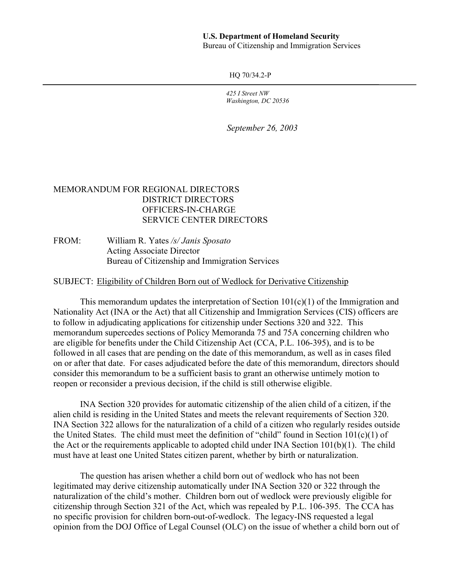## **U.S. Department of Homeland Security**

Bureau of Citizenship and Immigration Services

HQ 70/34.2-P

*425 I Street NW Washington, DC 20536* 

*September 26, 2003* 

## MEMORANDUM FOR REGIONAL DIRECTORS DISTRICT DIRECTORS OFFICERS-IN-CHARGE SERVICE CENTER DIRECTORS

FROM: William R. Yates */s/ Janis Sposato*  Acting Associate Director Bureau of Citizenship and Immigration Services

SUBJECT: Eligibility of Children Born out of Wedlock for Derivative Citizenship

This memorandum updates the interpretation of Section  $101(c)(1)$  of the Immigration and Nationality Act (INA or the Act) that all Citizenship and Immigration Services (CIS) officers are to follow in adjudicating applications for citizenship under Sections 320 and 322. This memorandum supercedes sections of Policy Memoranda 75 and 75A concerning children who are eligible for benefits under the Child Citizenship Act (CCA, P.L. 106-395), and is to be followed in all cases that are pending on the date of this memorandum, as well as in cases filed on or after that date. For cases adjudicated before the date of this memorandum, directors should consider this memorandum to be a sufficient basis to grant an otherwise untimely motion to reopen or reconsider a previous decision, if the child is still otherwise eligible.

INA Section 320 provides for automatic citizenship of the alien child of a citizen, if the alien child is residing in the United States and meets the relevant requirements of Section 320. INA Section 322 allows for the naturalization of a child of a citizen who regularly resides outside the United States. The child must meet the definition of "child" found in Section  $101(c)(1)$  of the Act or the requirements applicable to adopted child under INA Section 101(b)(1). The child must have at least one United States citizen parent, whether by birth or naturalization.

The question has arisen whether a child born out of wedlock who has not been legitimated may derive citizenship automatically under INA Section 320 or 322 through the naturalization of the child's mother. Children born out of wedlock were previously eligible for citizenship through Section 321 of the Act, which was repealed by P.L. 106-395. The CCA has no specific provision for children born-out-of-wedlock. The legacy-INS requested a legal opinion from the DOJ Office of Legal Counsel (OLC) on the issue of whether a child born out of